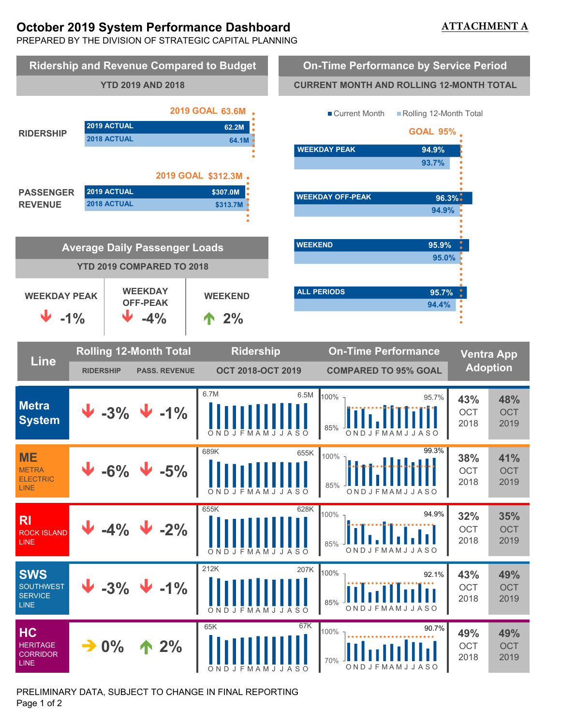# **October 2019 System Performance Dashboard**

## **ATTACHMENT A**

PREPARED BY THE DIVISION OF STRATEGIC CAPITAL PLANNING



PRELIMINARY DATA, SUBJECT TO CHANGE IN FINAL REPORTING Page 1 of 2